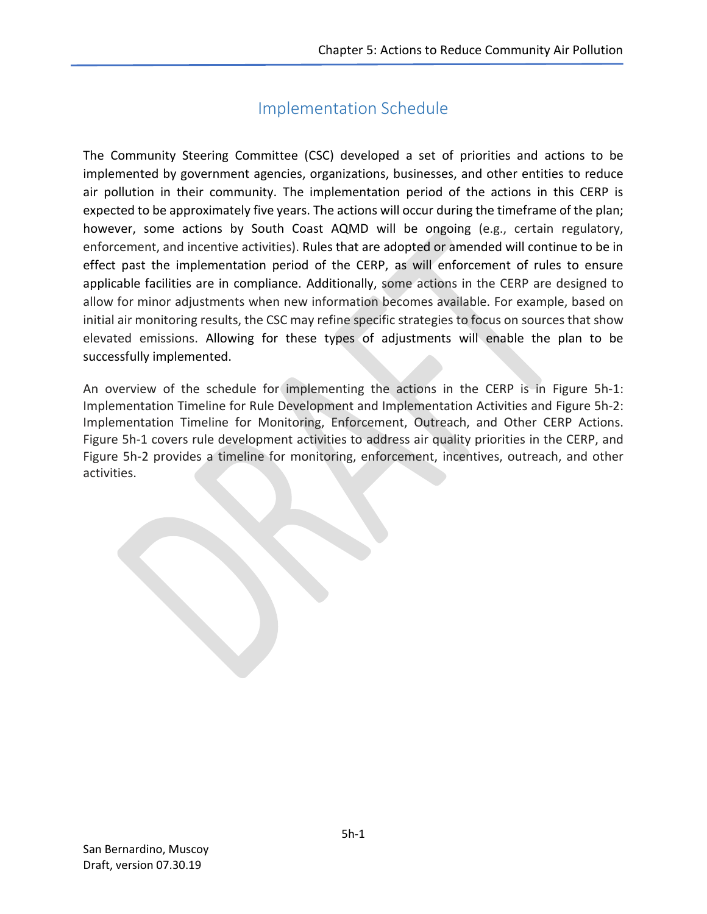## Implementation Schedule

The Community Steering Committee (CSC) developed a set of priorities and actions to be implemented by government agencies, organizations, businesses, and other entities to reduce air pollution in their community. The implementation period of the actions in this CERP is expected to be approximately five years. The actions will occur during the timeframe of the plan; however, some actions by South Coast AQMD will be ongoing (e.g., certain regulatory, enforcement, and incentive activities). Rules that are adopted or amended will continue to be in effect past the implementation period of the CERP, as will enforcement of rules to ensure applicable facilities are in compliance. Additionally, some actions in the CERP are designed to allow for minor adjustments when new information becomes available. For example, based on initial air monitoring results, the CSC may refine specific strategies to focus on sources that show elevated emissions. Allowing for these types of adjustments will enable the plan to be successfully implemented.

An overview of the schedule for implementing the actions in the CERP is in Figure 5h-1: Implementation Timeline for Rule Development and Implementation Activities and Figure 5h-2: Implementation Timeline for Monitoring, Enforcement, Outreach, and Other CERP Actions. Figure 5h-1 covers rule development activities to address air quality priorities in the CERP, and Figure 5h-2 provides a timeline for monitoring, enforcement, incentives, outreach, and other activities.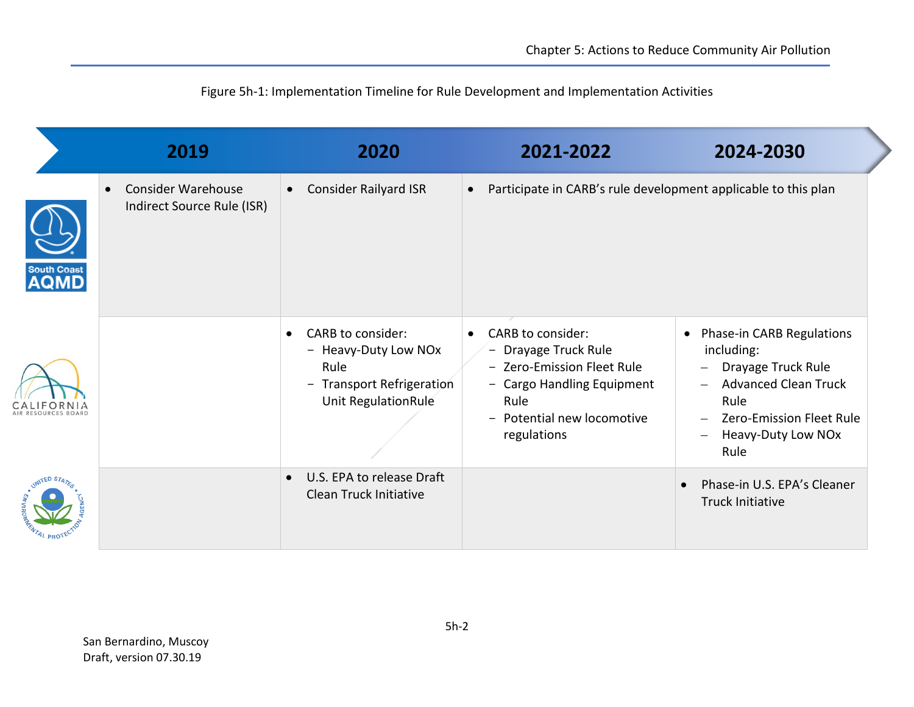|                                  | 2019                                                                 | 2020                                                                                                               | 2021-2022                                                                                                                                                                      | 2024-2030                                                                                                                                                                   |  |
|----------------------------------|----------------------------------------------------------------------|--------------------------------------------------------------------------------------------------------------------|--------------------------------------------------------------------------------------------------------------------------------------------------------------------------------|-----------------------------------------------------------------------------------------------------------------------------------------------------------------------------|--|
| <b>South Coas</b><br><b>AQMD</b> | <b>Consider Warehouse</b><br>$\bullet$<br>Indirect Source Rule (ISR) | <b>Consider Railyard ISR</b>                                                                                       | Participate in CARB's rule development applicable to this plan<br>$\bullet$                                                                                                    |                                                                                                                                                                             |  |
|                                  |                                                                      | CARB to consider:<br>$\bullet$<br>- Heavy-Duty Low NOx<br>Rule<br>- Transport Refrigeration<br>Unit RegulationRule | <b>CARB to consider:</b><br>$\bullet$<br>- Drayage Truck Rule<br>- Zero-Emission Fleet Rule<br>- Cargo Handling Equipment<br>Rule<br>- Potential new locomotive<br>regulations | Phase-in CARB Regulations<br>$\bullet$<br>including:<br>Drayage Truck Rule<br><b>Advanced Clean Truck</b><br>Rule<br>Zero-Emission Fleet Rule<br>Heavy-Duty Low NOx<br>Rule |  |
|                                  |                                                                      | U.S. EPA to release Draft<br>$\bullet$<br>Clean Truck Initiative                                                   |                                                                                                                                                                                | Phase-in U.S. EPA's Cleaner<br><b>Truck Initiative</b>                                                                                                                      |  |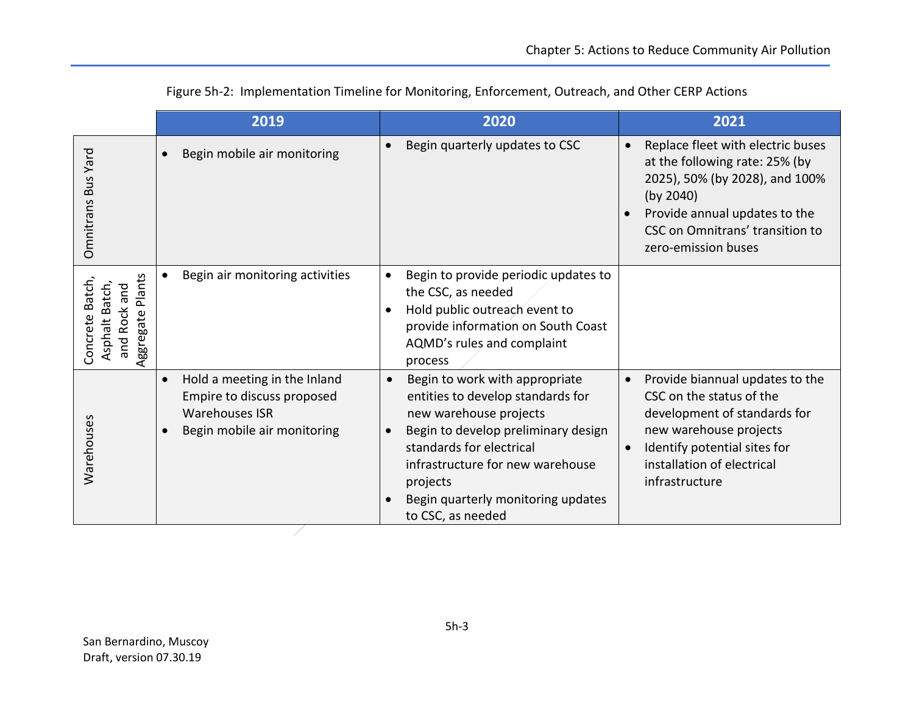|                                                                                                              | 2019                                                                                                               |                                      | 2020                                                                                                                                                                                                                                                                        | 2021                                                                                                                                                                                                          |
|--------------------------------------------------------------------------------------------------------------|--------------------------------------------------------------------------------------------------------------------|--------------------------------------|-----------------------------------------------------------------------------------------------------------------------------------------------------------------------------------------------------------------------------------------------------------------------------|---------------------------------------------------------------------------------------------------------------------------------------------------------------------------------------------------------------|
| Yard<br><b>Bus</b><br>Omnitrans                                                                              | Begin mobile air monitoring                                                                                        | $\bullet$                            | Begin quarterly updates to CSC                                                                                                                                                                                                                                              | Replace fleet with electric buses<br>at the following rate: 25% (by<br>2025), 50% (by 2028), and 100%<br>(by 2040)<br>Provide annual updates to the<br>CSC on Omnitrans' transition to<br>zero-emission buses |
| ants<br>Concrete Batch,<br>Asphalt Batch<br>and<br>$\overline{\mathbf{a}}$<br><b>Rock</b><br>ggregate<br>and | Begin air monitoring activities                                                                                    | $\bullet$<br>$\epsilon$              | Begin to provide periodic updates to<br>the CSC, as needed<br>Hold public outreach event to<br>provide information on South Coast<br>AQMD's rules and complaint<br>process                                                                                                  |                                                                                                                                                                                                               |
| Warehouses                                                                                                   | Hold a meeting in the Inland<br>Empire to discuss proposed<br><b>Warehouses ISR</b><br>Begin mobile air monitoring | $\bullet$<br>$\epsilon$<br>$\bullet$ | Begin to work with appropriate<br>entities to develop standards for<br>new warehouse projects<br>Begin to develop preliminary design<br>standards for electrical<br>infrastructure for new warehouse<br>projects<br>Begin quarterly monitoring updates<br>to CSC, as needed | Provide biannual updates to the<br>CSC on the status of the<br>development of standards for<br>new warehouse projects<br>Identify potential sites for<br>installation of electrical<br>infrastructure         |

|  |  | Figure 5h-2: Implementation Timeline for Monitoring, Enforcement, Outreach, and Other CERP Actions |  |  |
|--|--|----------------------------------------------------------------------------------------------------|--|--|
|--|--|----------------------------------------------------------------------------------------------------|--|--|

/